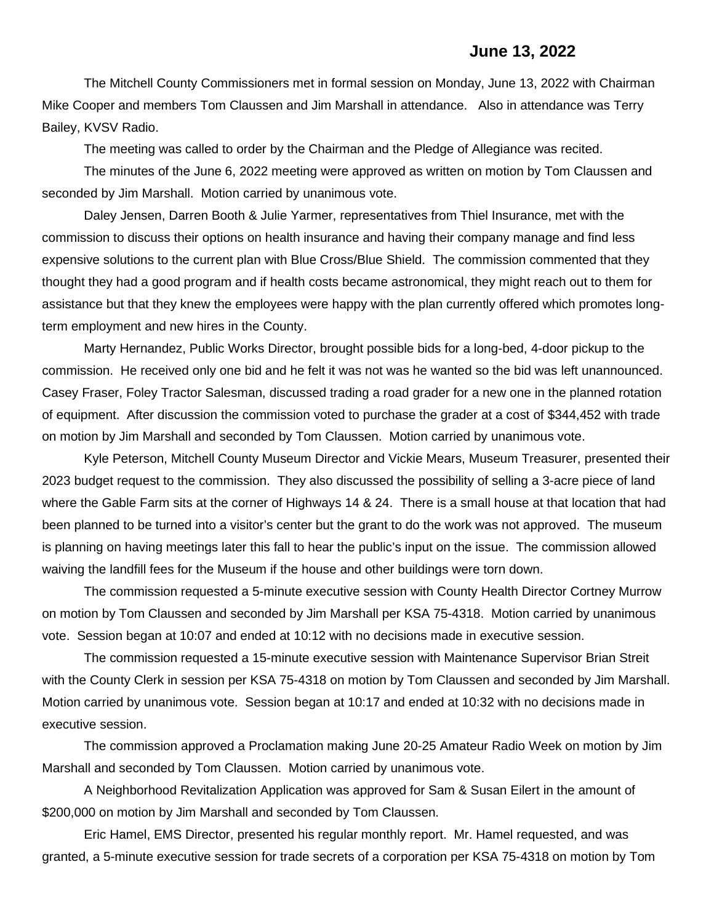The Mitchell County Commissioners met in formal session on Monday, June 13, 2022 with Chairman Mike Cooper and members Tom Claussen and Jim Marshall in attendance. Also in attendance was Terry Bailey, KVSV Radio.

The meeting was called to order by the Chairman and the Pledge of Allegiance was recited.

The minutes of the June 6, 2022 meeting were approved as written on motion by Tom Claussen and seconded by Jim Marshall. Motion carried by unanimous vote.

Daley Jensen, Darren Booth & Julie Yarmer, representatives from Thiel Insurance, met with the commission to discuss their options on health insurance and having their company manage and find less expensive solutions to the current plan with Blue Cross/Blue Shield. The commission commented that they thought they had a good program and if health costs became astronomical, they might reach out to them for assistance but that they knew the employees were happy with the plan currently offered which promotes longterm employment and new hires in the County.

Marty Hernandez, Public Works Director, brought possible bids for a long-bed, 4-door pickup to the commission. He received only one bid and he felt it was not was he wanted so the bid was left unannounced. Casey Fraser, Foley Tractor Salesman, discussed trading a road grader for a new one in the planned rotation of equipment. After discussion the commission voted to purchase the grader at a cost of \$344,452 with trade on motion by Jim Marshall and seconded by Tom Claussen. Motion carried by unanimous vote.

Kyle Peterson, Mitchell County Museum Director and Vickie Mears, Museum Treasurer, presented their 2023 budget request to the commission. They also discussed the possibility of selling a 3-acre piece of land where the Gable Farm sits at the corner of Highways 14 & 24. There is a small house at that location that had been planned to be turned into a visitor's center but the grant to do the work was not approved. The museum is planning on having meetings later this fall to hear the public's input on the issue. The commission allowed waiving the landfill fees for the Museum if the house and other buildings were torn down.

The commission requested a 5-minute executive session with County Health Director Cortney Murrow on motion by Tom Claussen and seconded by Jim Marshall per KSA 75-4318. Motion carried by unanimous vote. Session began at 10:07 and ended at 10:12 with no decisions made in executive session.

The commission requested a 15-minute executive session with Maintenance Supervisor Brian Streit with the County Clerk in session per KSA 75-4318 on motion by Tom Claussen and seconded by Jim Marshall. Motion carried by unanimous vote. Session began at 10:17 and ended at 10:32 with no decisions made in executive session.

The commission approved a Proclamation making June 20-25 Amateur Radio Week on motion by Jim Marshall and seconded by Tom Claussen. Motion carried by unanimous vote.

A Neighborhood Revitalization Application was approved for Sam & Susan Eilert in the amount of \$200,000 on motion by Jim Marshall and seconded by Tom Claussen.

Eric Hamel, EMS Director, presented his regular monthly report. Mr. Hamel requested, and was granted, a 5-minute executive session for trade secrets of a corporation per KSA 75-4318 on motion by Tom